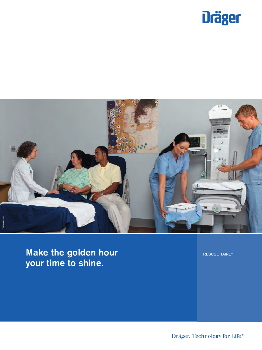



**Make the golden hour your time to shine.**

RESUSCITAIRE®

Dräger. Technology for Life®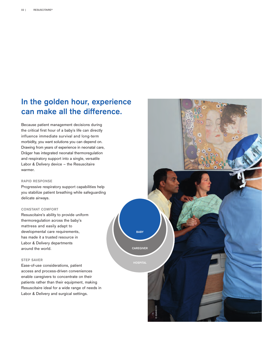## **In the golden hour, experience can make all the difference.**

Because patient management decisions during the critical first hour of a baby's life can directly influence immediate survival and long-term morbidity, you want solutions you can depend on. Drawing from years of experience in neonatal care, Dräger has integrated neonatal thermoregulation and respiratory support into a single, versatile Labor & Delivery device – the Resuscitaire warmer.

#### **RAPID RESPONSE**

Progressive respiratory support capabilities help you stabilize patient breathing while safeguarding delicate airways.

**BABY**

**CAREGIVER**

**HOSPITAL**

D-30498-2011

#### **CONSTANT COMFORT**

Resuscitaire's ability to provide uniform thermoregulation across the baby's mattress and easily adapt to developmental care requirements, has made it a trusted resource in Labor & Delivery departments around the world.

#### **STEP SAVER**

Ease-of-use considerations, patient access and process-driven conveniences enable caregivers to concentrate on their patients rather than their equipment, making Resuscitaire ideal for a wide range of needs in Labor & Delivery and surgical settings.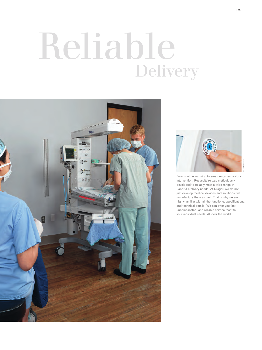## Delivery Reliable





From routine warming to emergency respiratory intervention, Resuscitaire was meticulously developed to reliably meet a wide range of Labor & Delivery needs. At Dräger, we do not just develop medical devices and solutions, we manufacture them as well. That is why we are highly familiar with all the functions, specifications, and technical details. We can offer you fast, uncomplicated, and reliable service that fits your individual needs. All over the world.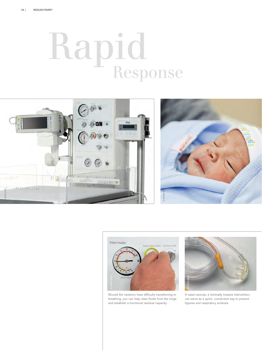## Response Rapid





Should the newborn have difficulty transitioning to breathing, you can help clear fluids from the lungs and establish a functional residual capacity.



A nasal cannula, a minimally invasive intervention, can serve as a quick, convenient way to prevent hypoxia and respiratory acidosis.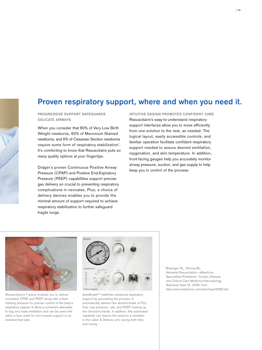## **Proven respiratory support, where and when you need it.**

**PROGRESSIVE SUPPORT SAFEGUARDS DELICATE AIRWAYS**

When you consider that 80% of Very Low Birth Weight newborns, 60% of Meconium Stained newborns, and 6% of Cesarean Section newborns require some form of respiratory stabilization<sup>1</sup>, it's comforting to know that Resuscitaire puts so many quality options at your fingertips.

Dräger's proven Continuous Positive Airway Pressure (CPAP) and Positive End-Expiratory Pressure (PEEP) capabilities support precise gas delivery so crucial to preventing respiratory complications in neonates. Plus, a choice of delivery devices enables you to provide the minimal amount of support required to achieve respiratory stabilization to further safeguard fragile lungs.

**INTUITIVE DESIGN PROMOTES CONFIDENT CARE** Resuscitaire's easy-to-understand respiratory support interfaces allow you to move efficiently from one solution to the next, as needed. The logical layout, easily accessible controls, and familiar operation facilitate confident respiratory support needed to assure desired ventilation, oxygenation, and skin temperature. In addition, front-facing gauges help you accurately monitor airway pressure, suction, and gas supply to help keep you in control of the process.



Resuscitaire's T-piece enables you to deliver consistent CPAP and PEEP along with a fixed inflating pressure for precise control of the baby's respiratory support. It offers a convenient alternative to bag and mask ventilation and can be used with either a face mask for non-invasive support or an endotracheal tube.



AutoBreath™ redefines advanced respiratory support by automating the process. It automatically delivers the desired levels of FiO<sub>2</sub>, flow, max pressure, rate, and PEEP, freeing up the clinician's hands. In addition, this automated capability can reduce the need for a ventilator in the Labor & Delivery unit, saving both time and money.

<sup>1</sup> Bissinger RL, Ohning BL. Neonatal Resuscitation. eMedicine Specialties>Pediatrics: Cardiac Disease and Critical Care Medicine>Neonatology. Retrieved Sept 16, 2008, from http:www.emedicine.com/ped/topic2598.htm.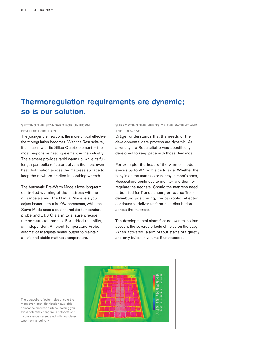### **Thermoregulation requirements are dynamic; so is our solution.**

#### **SETTING THE STANDARD FOR UNIFORM HEAT DISTRIBUTION**

The younger the newborn, the more critical effective thermoregulation becomes. With the Resuscitaire, it all starts with its Silica Quartz element – the most responsive heating element in the industry. The element provides rapid warm up, while its fulllength parabolic reflector delivers the most even heat distribution across the mattress surface to keep the newborn cradled in soothing warmth.

The Automatic Pre-Warm Mode allows long-term, controlled warming of the mattress with no nuisance alarms. The Manual Mode lets you adjust heater output in 10% increments, while the Servo Mode uses a dual thermistor temperature probe and ±1.0°C alarm to ensure precise temperature tolerances. For added reliability, an independent Ambient Temperature Probe automatically adjusts heater output to maintain a safe and stable mattress temperature.

#### **SUPPORTING THE NEEDS OF THE PATIENT AND THE PROCESS**

Dräger understands that the needs of the developmental care process are dynamic. As a result, the Resuscitaire was specifically developed to keep pace with those demands.

For example, the head of the warmer module swivels up to 90° from side to side. Whether the baby is on the mattress or nearby in mom's arms, Resuscitaire continues to monitor and thermoregulate the neonate. Should the mattress need to be tilted for Trendelenburg or reverse Trendelenburg positioning, the parabolic reflector continues to deliver uniform heat distribution across the mattress.

The developmental alarm feature even takes into account the adverse effects of noise on the baby. When activated, alarm output starts out quietly and only builds in volume if unattended.



The parabolic reflector helps ensure the most even heat distribution available across the mattress surface, helping you avoid potentially dangerous hotspots and inconsistencies associated with hourglasstype thermal delivery.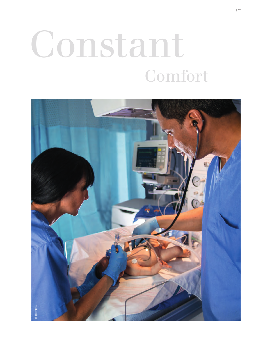# Constant Comfort

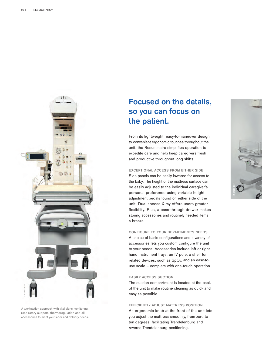

A workstation approach with vital signs monitoring, respiratory support, thermoregulation and all accessories to meet your labor and delivery needs.

## **Focused on the details, so you can focus on the patient.**

From its lightweight, easy-to-maneuver design to convenient ergonomic touches throughout the unit, the Resuscitaire simplifies operation to expedite care and help keep caregivers fresh and productive throughout long shifts.

#### **EXCEPTIONAL ACCESS FROM EITHER SIDE**

Side panels can be easily lowered for access to the baby. The height of the mattress surface can be easily adjusted to the individual caregiver's personal preference using variable height adjustment pedals found on either side of the unit. Dual access X-ray offers users greater flexibility. Plus, a pass-through drawer makes storing accessories and routinely needed items a breeze.

**CONFIGURE TO YOUR DEPARTMENT'S NEEDS** A choice of basic configurations and a variety of accessories lets you custom configure the unit to your needs. Accessories include left or right hand instrument trays, an IV pole, a shelf for related devices, such as  $SpO<sub>2</sub>$ , and an easy-touse scale – complete with one-touch operation.

#### **EASILY ACCESS SUCTION**

The suction compartment is located at the back of the unit to make routine cleaning as quick and easy as possible.

#### **EFFICIENTLY ADJUST MATTRESS POSITION**

An ergonomic knob at the front of the unit lets you adjust the mattress smoothly, from zero to ten degrees, facilitating Trendelenburg and reverse Trendelenburg positioning.

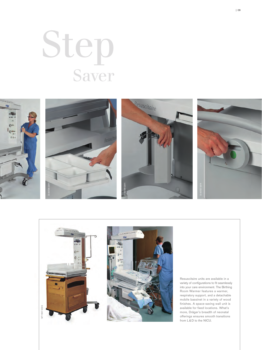# Step Saver





Resuscitaire units are available in a variety of configurations to fit seamlessly into your care environment. The Birthing Room Warmer features a warmer, respiratory support, and a detachable mobile bassinet in a variety of wood finishes. A space-saving wall unit is available for fixed locations. What's more, Dräger's breadth of neonatal offerings ensures smooth transitions from L & D to the NICU.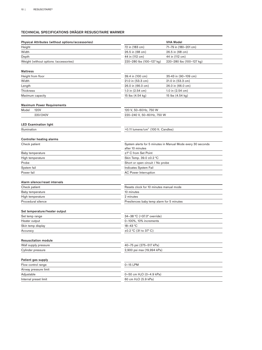#### **TECHNICAL SPECIFICATIONS DRÄGER RESUSCITAIRE WARMER**

| Physical Attributes (without options/accessories) |                                                  | <b>VHA Model</b>                                            |
|---------------------------------------------------|--------------------------------------------------|-------------------------------------------------------------|
| Height                                            | 72 in (183 cm)                                   | 71-79 in (180-201 cm)                                       |
| Width                                             | 26.5 in (68 cm)                                  | 26.5 in (68 cm)                                             |
| Depth                                             | 44 in (112 cm)                                   | 44 in (112 cm)                                              |
| Weight (without options /accessories)             | 220-280 lbs (100-127 kg)                         | 220-280 lbs (100-127 kg)                                    |
|                                                   |                                                  |                                                             |
| Mattress                                          |                                                  |                                                             |
| Height from floor                                 | 39.4 in (100 cm)                                 | 35-43 in (90-109 cm)                                        |
| Width                                             | 21.0 in (53.3 cm)                                | 21.0 in (53.3 cm)                                           |
| Length                                            | 26.0 in (66.0 cm)                                | 26.0 in (66.0 cm)                                           |
| Thickness                                         | 1.0 in $(2.54 \text{ cm})$                       | 1.0 in $(2.54 \text{ cm})$                                  |
| Maximum capacity                                  | 15 lbs (4.54 kg)                                 | 15 lbs (4.54 kg)                                            |
| <b>Maximum Power Requirements</b>                 |                                                  |                                                             |
| Model<br><b>120V</b>                              | 120 V, 50-60 Hz, 750 W                           |                                                             |
| 220/240V                                          | 220-240 V, 50-60 Hz, 750 W                       |                                                             |
|                                                   |                                                  |                                                             |
| <b>LED Examination light</b>                      |                                                  |                                                             |
| Illumination                                      | $>0.11$ lumens/cm <sup>2</sup> (100 ft. Candles) |                                                             |
| <b>Controller heating alarms</b>                  |                                                  |                                                             |
| Check patient                                     |                                                  | System alerts for 5 minutes in Manual Mode every 30 seconds |
|                                                   | after 10 minutes                                 |                                                             |
| Baby temperature                                  | ±1° C from Set Point                             |                                                             |
| High temperature                                  | Skin Temp. 39.0 ±0.2 °C                          |                                                             |
| Probe                                             | Short or open circuit / No probe                 |                                                             |
| System fail                                       | Indicates System Fail                            |                                                             |
| Power fail                                        | <b>AC Power Interruption</b>                     |                                                             |
| Alarm silence/reset intervals                     |                                                  |                                                             |
| Check patient                                     | Resets clock for 10 minutes manual mode          |                                                             |
| Baby temperature                                  | 10 minutes                                       |                                                             |
| High temperature                                  | 2 minutes                                        |                                                             |
| Procedural silence                                | Presilences baby temp alarm for 5 minutes        |                                                             |
|                                                   |                                                  |                                                             |
| Set temperature/heater output                     |                                                  |                                                             |
| Set temp range                                    | 34-38 °C (>37.0° override)                       |                                                             |
| Heater output                                     | 0-100%, 10% increments                           |                                                             |
| Skin temp display                                 | 18-43 °C                                         |                                                             |
| Accuracy                                          | $\pm 0.2$ °C (31 to 37° C)                       |                                                             |
|                                                   |                                                  |                                                             |
| <b>Resuscitation module</b>                       |                                                  |                                                             |
| Wall supply pressure                              | 40-75 psi (275-517 kPa)                          |                                                             |
| Cylinder pressure                                 | 2,900 psi max (19,994 kPa)                       |                                                             |
| Patient gas supply                                |                                                  |                                                             |
| Flow control range                                | 0-15 LPM                                         |                                                             |
| Airway pressure limit                             |                                                  |                                                             |
| Adjustable                                        | 0-50 cm $H_2O$ (0-4.9 kPa)                       |                                                             |
| Internal preset limit                             | 60 cm H <sub>2</sub> O (5.9 kPa)                 |                                                             |
|                                                   |                                                  |                                                             |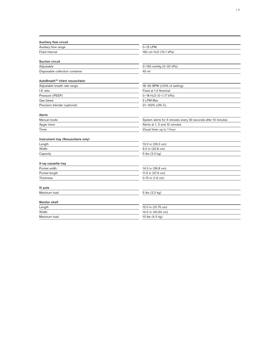| <b>Auxiliary flow circuit</b>       |                                                               |  |
|-------------------------------------|---------------------------------------------------------------|--|
| Auxiliary flow range                | 0-15 LPM                                                      |  |
| <b>Fixed internal</b>               | 160 cm H <sub>2</sub> O (15.7 kPa)                            |  |
| <b>Suction circuit</b>              |                                                               |  |
| Adjustable                          | 0-150 mmHg (0-20 kPa)                                         |  |
| Disposable collection container     | 40 ml                                                         |  |
|                                     |                                                               |  |
| AutoBreath™ infant resuscitator     |                                                               |  |
| Adjustable breath rate range        | 18-60 BPM (±10% of setting)                                   |  |
| I:E ratio                           | Fixed at 1:2 Nominal                                          |  |
| Pressure (PEEP)                     | 0-18 H <sub>2</sub> O (0-1.77 kPa)                            |  |
| Gas bleed                           | 5 LPM Max                                                     |  |
| Precision blender (optional)        | 21-100% ±3% $O_2$                                             |  |
| Alerts                              |                                                               |  |
| Manual mode                         | System alerts for 5 minutes every 30 seconds after 10 minutes |  |
| Apgar timer                         | Alerts at 1, 5 and 10 minutes                                 |  |
| Timer                               | Visual timer up to 1 hour                                     |  |
| Instrument tray (Resuscitaire only) |                                                               |  |
| Length                              | 13.0 in (33.0 cm)                                             |  |
| Width                               | 9.0 in (22.8 cm)                                              |  |
| Capacity                            | 5 lbs (2.2 kg)                                                |  |
| X-ray cassette tray                 |                                                               |  |
| Pocket width                        | 14.5 in (36.8 cm)                                             |  |
| Pocket length                       | 11.0 in (27.9 cm)                                             |  |
| Thickness                           | 0.75 in (1.9 cm)                                              |  |
|                                     |                                                               |  |
| IV pole                             |                                                               |  |
| Maximum load                        | 5 lbs (2.2 kg)                                                |  |
| <b>Monitor shelf</b>                |                                                               |  |
| Length                              | 12.0 in (31.75 cm)                                            |  |
| Width                               | 14.0 in (40.64 cm)                                            |  |
| Maximum load                        | 10 lbs $(4.5 \text{ kg})$                                     |  |